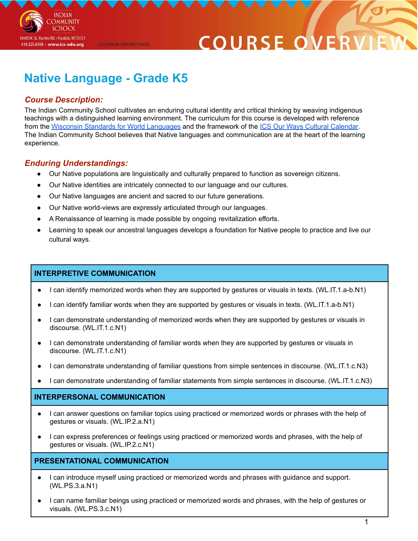

# **Native Language - Grade K5**

@2020 INDIAN COMMUNITY SCHOOL

# *Course Description:*

**INDIAN OMMUNITY SCHOOL** 

10405 W. St. Martins Rd. • Franklin, WI 53121 414.525.6100 · www.ics-edu.org

The Indian Community School cultivates an enduring cultural identity and critical thinking by weaving indigenous teachings with a distinguished learning environment. The curriculum for this course is developed with reference from the Wisconsin Standards for World [Languages](https://dpi.wi.gov/sites/default/files/imce/world-language/WorldLanguagesStandards2019.pdf) and the framework of the ICS Our Ways Cultural [Calendar.](https://drive.google.com/open?id=0B7pONXiRIufTT3VHOXBBeG9USHMzbDNIUi1nV0NTbURCMFRZ) The Indian Community School believes that Native languages and communication are at the heart of the learning experience.

# *Enduring Understandings:*

- Our Native populations are linguistically and culturally prepared to function as sovereign citizens.
- Our Native identities are intricately connected to our language and our cultures.
- Our Native languages are ancient and sacred to our future generations.
- Our Native world-views are expressly articulated through our languages.
- A Renaissance of learning is made possible by ongoing revitalization efforts.
- Learning to speak our ancestral languages develops a foundation for Native people to practice and live our cultural ways.

# **INTERPRETIVE COMMUNICATION**

- I can identify memorized words when they are supported by gestures or visuals in texts. (WL.IT.1.a-b.N1)
- I can identify familiar words when they are supported by gestures or visuals in texts. (WL.IT.1.a-b.N1)
- I can demonstrate understanding of memorized words when they are supported by gestures or visuals in discourse. (WL.IT.1.c.N1)
- I can demonstrate understanding of familiar words when they are supported by gestures or visuals in discourse. (WL.IT.1.c.N1)
- I can demonstrate understanding of familiar questions from simple sentences in discourse. (WL.IT.1.c.N3)
- I can demonstrate understanding of familiar statements from simple sentences in discourse. (WL.IT.1.c.N3)

### **INTERPERSONAL COMMUNICATION**

- I can answer questions on familiar topics using practiced or memorized words or phrases with the help of gestures or visuals. (WL.IP.2.a.N1)
- I can express preferences or feelings using practiced or memorized words and phrases, with the help of gestures or visuals. (WL.IP.2.c.N1)

### **PRESENTATIONAL COMMUNICATION**

- I can introduce myself using practiced or memorized words and phrases with guidance and support. (WL.PS.3.a.N1)
- I can name familiar beings using practiced or memorized words and phrases, with the help of gestures or visuals. (WL.PS.3.c.N1)